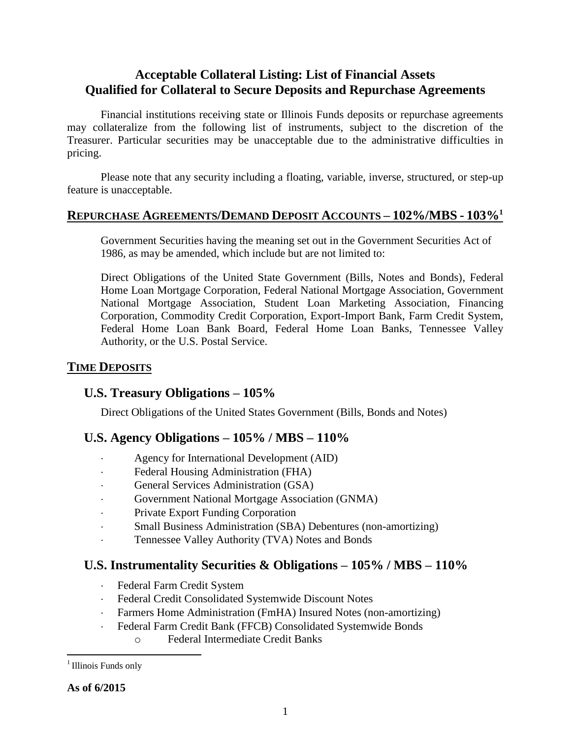# **Acceptable Collateral Listing: List of Financial Assets Qualified for Collateral to Secure Deposits and Repurchase Agreements**

Financial institutions receiving state or Illinois Funds deposits or repurchase agreements may collateralize from the following list of instruments, subject to the discretion of the Treasurer. Particular securities may be unacceptable due to the administrative difficulties in pricing.

Please note that any security including a floating, variable, inverse, structured, or step-up feature is unacceptable.

#### **REPURCHASE AGREEMENTS/DEMAND DEPOSIT ACCOUNTS – 102%/MBS - 103%<sup>1</sup>**

Government Securities having the meaning set out in the Government Securities Act of 1986, as may be amended, which include but are not limited to:

Direct Obligations of the United State Government (Bills, Notes and Bonds), Federal Home Loan Mortgage Corporation, Federal National Mortgage Association, Government National Mortgage Association, Student Loan Marketing Association, Financing Corporation, Commodity Credit Corporation, Export-Import Bank, Farm Credit System, Federal Home Loan Bank Board, Federal Home Loan Banks, Tennessee Valley Authority, or the U.S. Postal Service.

#### **TIME DEPOSITS**

### **U.S. Treasury Obligations – 105%**

Direct Obligations of the United States Government (Bills, Bonds and Notes)

### **U.S. Agency Obligations – 105% / MBS – 110%**

- Agency for International Development (AID)
- Federal Housing Administration (FHA)
- General Services Administration (GSA)
- Government National Mortgage Association (GNMA)
- Private Export Funding Corporation
- Small Business Administration (SBA) Debentures (non-amortizing)
- Tennessee Valley Authority (TVA) Notes and Bonds

### **U.S. Instrumentality Securities & Obligations – 105% / MBS – 110%**

- Federal Farm Credit System
- Federal Credit Consolidated Systemwide Discount Notes
- Farmers Home Administration (FmHA) Insured Notes (non-amortizing)
- Federal Farm Credit Bank (FFCB) Consolidated Systemwide Bonds
	- o Federal Intermediate Credit Banks

 $\overline{a}$ 

<sup>&</sup>lt;sup>1</sup> Illinois Funds only